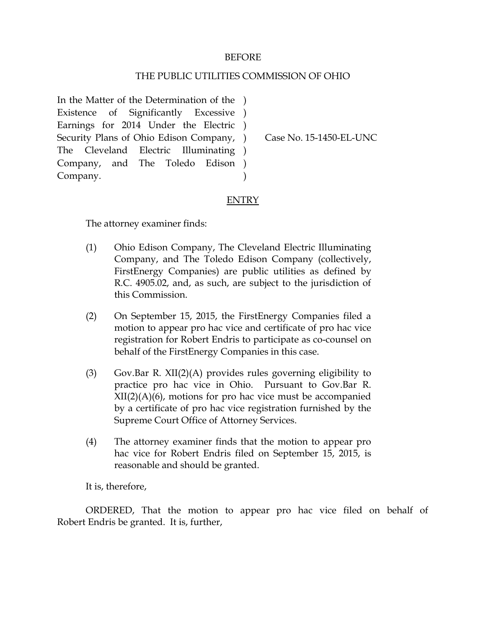## BEFORE

## THE PUBLIC UTILITIES COMMISSION OF OHIO

In the Matter of the Determination of the ) Existence of Significantly Excessive ) Earnings for 2014 Under the Electric ) Security Plans of Ohio Edison Company, ) The Cleveland Electric Company, and The Toledo Edison ) Company. Illuminating )  $\lambda$ 

Case No. 15-1450-EL-UNC

## ENTRY

The attorney examiner finds:

- (1) Ohio Edison Company, The Cleveland Electric Illuminating Company, and The Toledo Edison Company (collectively, FirstEnergy Companies) are public utilities as defined by R.C. 4905.02, and, as such, are subject to the jurisdiction of this Commission.
- (2) On September 15, 2015, the FirstEnergy Companies filed a motion to appear pro hac vice and certificate of pro hac vice registration for Robert Endris to participate as co-counsel on behalf of the FirstEnergy Companies in this case.
- (3) Gov.Bar R. XII(2)(A) provides rules governing eligibility to practice pro hac vice in Ohio. Pursuant to Gov.Bar R.  $XII(2)(A)(6)$ , motions for pro hac vice must be accompanied by a certificate of pro hac vice registration furnished by the Supreme Court Office of Attorney Services.
- (4) The attorney examiner finds that the motion to appear pro hac vice for Robert Endris filed on September 15, 2015, is reasonable and should be granted.

It is, therefore,

ORDERED, That the motion to appear pro hac vice filed on behalf of Robert Endris be granted. It is, further,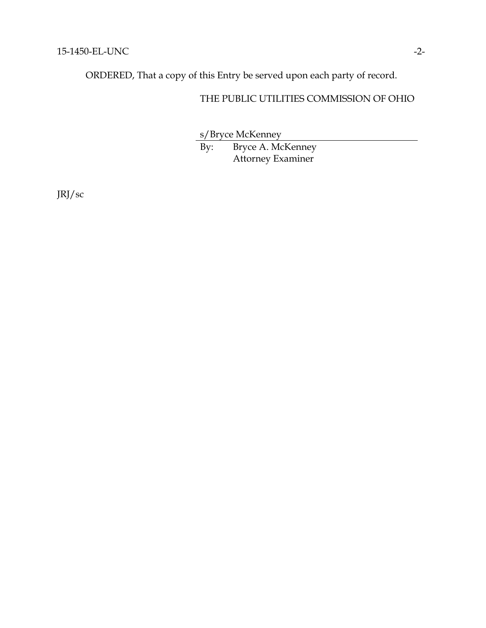ORDERED, That a copy of this Entry be served upon each party of record.

## THE PUBLIC UTILITIES COMMISSION OF OHIO

s/Bryce McKenney

By: Bryce A. McKenney Attorney Examiner

JRJ/sc